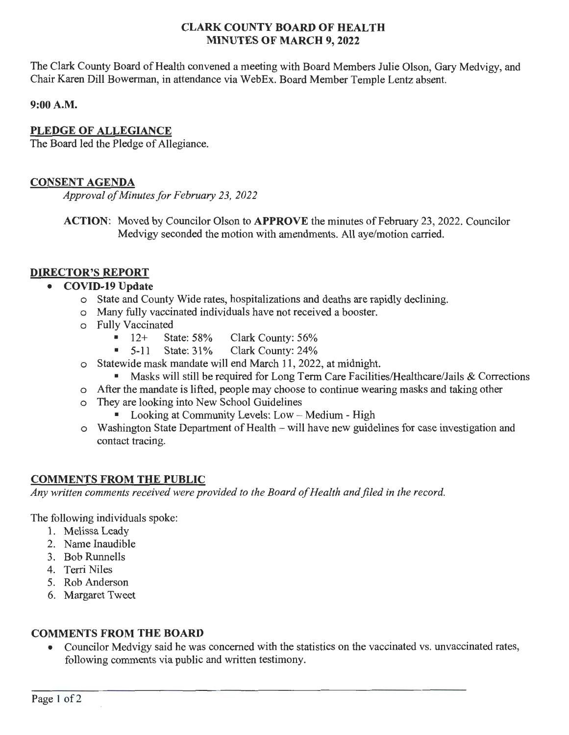### **CLARK COUNTY BOARD OF HEALTH MINUTES OF MARCH 9, 2022**

The Clark County Board of Health convened a meeting with Board Members Julie Olson, Gary Medvigy, and Chair Karen Dill Bowerman, in attendance via WebEx. Board Member Temple Lentz absent.

**9:00 A.M.** 

## **PLEDGE OF ALLEGIANCE**

The Board led the Pledge of Allegiance.

### **CONSENT AGENDA**

*Approval of Minutes for February 23, 2022* 

**ACTION:** Moved by Councilor Olson to **APPROVE** the minutes of February 23, 2022. Councilor Medvigy seconded the motion with amendments. All aye/motion carried.

### **DIRECTOR'S REPORT**

### • **COVID-19 Update**

- o State and County Wide rates, hospitalizations and deaths are rapidly declining.
- o Many fully vaccinated individuals have not received a booster.
- o Fully Vaccinated<br>■  $12+$  State: 58%
	- Clark County: 56%
	- $\blacksquare$  5-11 State: 31% Clark County: 24%
- o Statewide mask mandate will end March 11, 2022, at midnight.
	- Masks will still be required for Long Term Care Facilities/Healthcare/Jails & Corrections
- o After the mandate is lifted, people may choose to continue wearing masks and taking other
- o They are looking into New School Guidelines
	- Looking at Community Levels: Low Medium High
- o Washington State Department of Health- will have new guidelines for case investigation and contact tracing.

### **COMMENTS FROM THE PUBLIC**

*Any written comments received were provided to the Board of Health and filed in the record.* 

The following individuals spoke:

- 1. Melissa Leady
- 2. Name Inaudible
- 3. Bob Runnells
- 4. Terri Niles
- 5. Rob Anderson
- 6. Margaret Tweet

### **COMMENTS FROM THE BOARD**

• Councilor Medvigy said he was concerned with the statistics on the vaccinated vs. unvaccinated rates, following comments via public and written testimony.